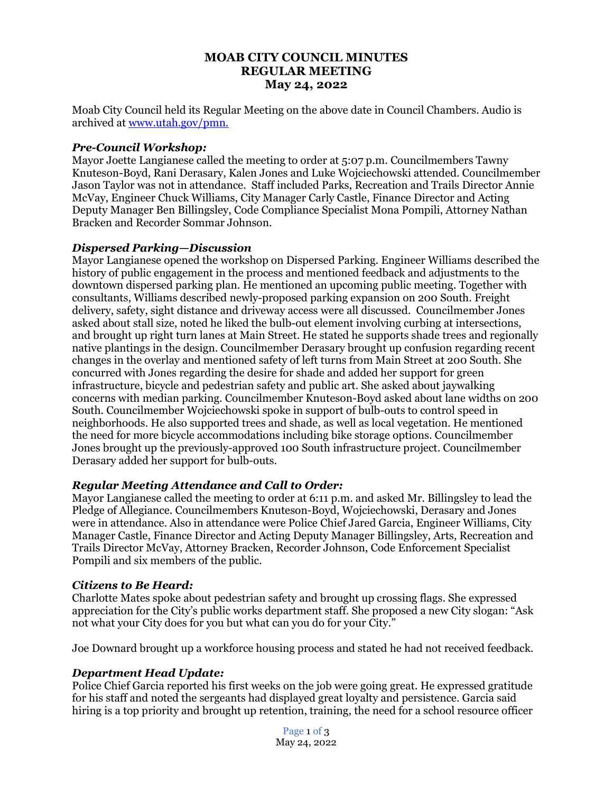## **MOAB CITY COUNCIL MINUTES REGULAR MEETING May 24, 2022**

Moab City Council held its Regular Meeting on the above date in Council Chambers. Audio is archived at [www.utah.gov/pmn.](about:blank)

### *Pre-Council Workshop:*

Mayor Joette Langianese called the meeting to order at 5:07 p.m. Councilmembers Tawny Knuteson-Boyd, Rani Derasary, Kalen Jones and Luke Wojciechowski attended. Councilmember Jason Taylor was not in attendance. Staff included Parks, Recreation and Trails Director Annie McVay, Engineer Chuck Williams, City Manager Carly Castle, Finance Director and Acting Deputy Manager Ben Billingsley, Code Compliance Specialist Mona Pompili, Attorney Nathan Bracken and Recorder Sommar Johnson.

## *Dispersed Parking—Discussion*

Mayor Langianese opened the workshop on Dispersed Parking. Engineer Williams described the history of public engagement in the process and mentioned feedback and adjustments to the downtown dispersed parking plan. He mentioned an upcoming public meeting. Together with consultants, Williams described newly-proposed parking expansion on 200 South. Freight delivery, safety, sight distance and driveway access were all discussed. Councilmember Jones asked about stall size, noted he liked the bulb-out element involving curbing at intersections, and brought up right turn lanes at Main Street. He stated he supports shade trees and regionally native plantings in the design. Councilmember Derasary brought up confusion regarding recent changes in the overlay and mentioned safety of left turns from Main Street at 200 South. She concurred with Jones regarding the desire for shade and added her support for green infrastructure, bicycle and pedestrian safety and public art. She asked about jaywalking concerns with median parking. Councilmember Knuteson-Boyd asked about lane widths on 200 South. Councilmember Wojciechowski spoke in support of bulb-outs to control speed in neighborhoods. He also supported trees and shade, as well as local vegetation. He mentioned the need for more bicycle accommodations including bike storage options. Councilmember Jones brought up the previously-approved 100 South infrastructure project. Councilmember Derasary added her support for bulb-outs.

# *Regular Meeting Attendance and Call to Order:*

Mayor Langianese called the meeting to order at 6:11 p.m. and asked Mr. Billingsley to lead the Pledge of Allegiance. Councilmembers Knuteson-Boyd, Wojciechowski, Derasary and Jones were in attendance. Also in attendance were Police Chief Jared Garcia, Engineer Williams, City Manager Castle, Finance Director and Acting Deputy Manager Billingsley, Arts, Recreation and Trails Director McVay, Attorney Bracken, Recorder Johnson, Code Enforcement Specialist Pompili and six members of the public.

### *Citizens to Be Heard:*

Charlotte Mates spoke about pedestrian safety and brought up crossing flags. She expressed appreciation for the City's public works department staff. She proposed a new City slogan: "Ask not what your City does for you but what can you do for your City."

Joe Downard brought up a workforce housing process and stated he had not received feedback.

# *Department Head Update:*

Police Chief Garcia reported his first weeks on the job were going great. He expressed gratitude for his staff and noted the sergeants had displayed great loyalty and persistence. Garcia said hiring is a top priority and brought up retention, training, the need for a school resource officer

> Page 1 of 3 May 24, 2022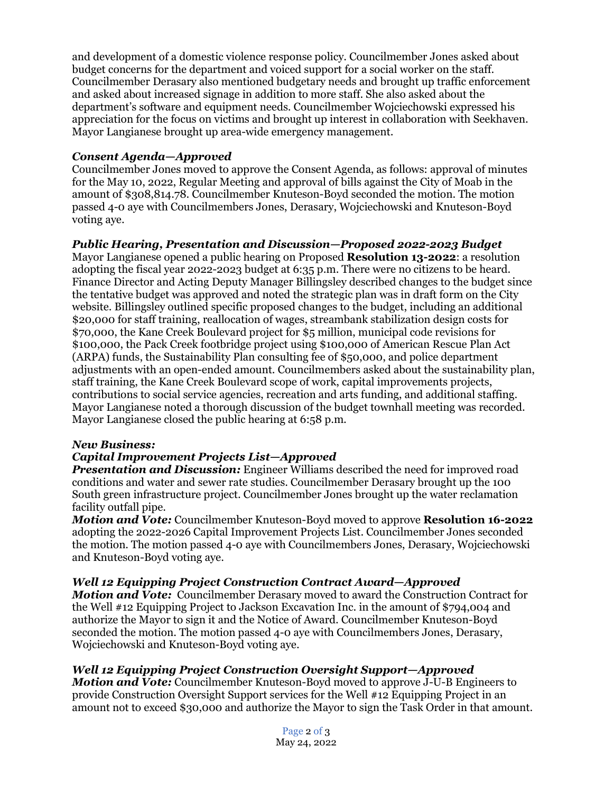and development of a domestic violence response policy. Councilmember Jones asked about budget concerns for the department and voiced support for a social worker on the staff. Councilmember Derasary also mentioned budgetary needs and brought up traffic enforcement and asked about increased signage in addition to more staff. She also asked about the department's software and equipment needs. Councilmember Wojciechowski expressed his appreciation for the focus on victims and brought up interest in collaboration with Seekhaven. Mayor Langianese brought up area-wide emergency management.

### *Consent Agenda—Approved*

Councilmember Jones moved to approve the Consent Agenda, as follows: approval of minutes for the May 10, 2022, Regular Meeting and approval of bills against the City of Moab in the amount of \$308,814.78. Councilmember Knuteson-Boyd seconded the motion. The motion passed 4-0 aye with Councilmembers Jones, Derasary, Wojciechowski and Knuteson-Boyd voting aye.

# *Public Hearing, Presentation and Discussion—Proposed 2022-2023 Budget*

Mayor Langianese opened a public hearing on Proposed **Resolution 13-2022**: a resolution adopting the fiscal year 2022-2023 budget at 6:35 p.m. There were no citizens to be heard. Finance Director and Acting Deputy Manager Billingsley described changes to the budget since the tentative budget was approved and noted the strategic plan was in draft form on the City website. Billingsley outlined specific proposed changes to the budget, including an additional \$20,000 for staff training, reallocation of wages, streambank stabilization design costs for \$70,000, the Kane Creek Boulevard project for \$5 million, municipal code revisions for \$100,000, the Pack Creek footbridge project using \$100,000 of American Rescue Plan Act (ARPA) funds, the Sustainability Plan consulting fee of \$50,000, and police department adjustments with an open-ended amount. Councilmembers asked about the sustainability plan, staff training, the Kane Creek Boulevard scope of work, capital improvements projects, contributions to social service agencies, recreation and arts funding, and additional staffing. Mayor Langianese noted a thorough discussion of the budget townhall meeting was recorded. Mayor Langianese closed the public hearing at 6:58 p.m.

### *New Business:*

# *Capital Improvement Projects List—Approved*

*Presentation and Discussion:* Engineer Williams described the need for improved road conditions and water and sewer rate studies. Councilmember Derasary brought up the 100 South green infrastructure project. Councilmember Jones brought up the water reclamation facility outfall pipe.

*Motion and Vote:* Councilmember Knuteson-Boyd moved to approve **Resolution 16-2022** adopting the 2022-2026 Capital Improvement Projects List. Councilmember Jones seconded the motion. The motion passed 4-0 aye with Councilmembers Jones, Derasary, Wojciechowski and Knuteson-Boyd voting aye.

### *Well 12 Equipping Project Construction Contract Award—Approved*

*Motion and Vote:* Councilmember Derasary moved to award the Construction Contract for the Well #12 Equipping Project to Jackson Excavation Inc. in the amount of \$794,004 and authorize the Mayor to sign it and the Notice of Award. Councilmember Knuteson-Boyd seconded the motion. The motion passed 4-0 aye with Councilmembers Jones, Derasary, Wojciechowski and Knuteson-Boyd voting aye.

### *Well 12 Equipping Project Construction Oversight Support—Approved*

*Motion and Vote:* Councilmember Knuteson-Boyd moved to approve J-U-B Engineers to provide Construction Oversight Support services for the Well #12 Equipping Project in an amount not to exceed \$30,000 and authorize the Mayor to sign the Task Order in that amount.

> Page 2 of 3 May 24, 2022